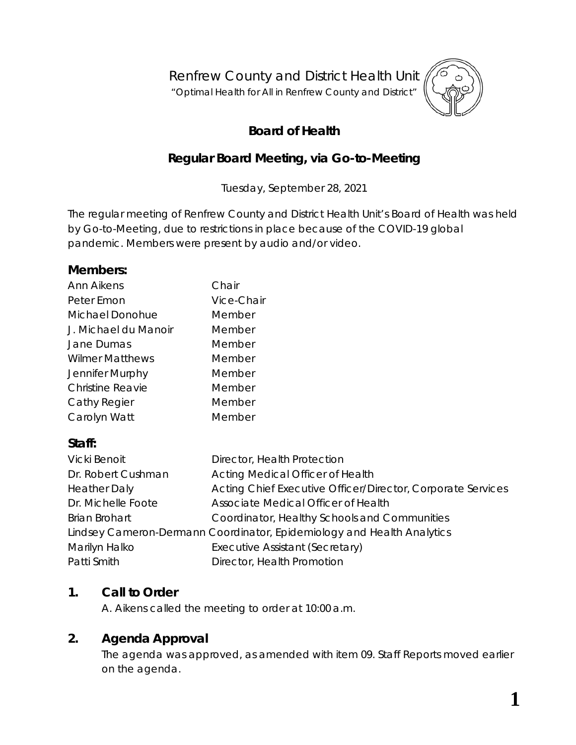Renfrew County and District Health Unit

"*Optimal Health for All in Renfrew County and District"*



# **Board of Health**

# **Regular Board Meeting, via** *Go-to-Meeting*

Tuesday, September 28, 2021

The regular meeting of Renfrew County and District Health Unit's Board of Health was held by *Go-to-Meeting,* due to restrictions in place because of the COVID-19 global pandemic. Members were present by audio and/or video.

### **Members:**

| <b>Ann Aikens</b>       | Chair      |
|-------------------------|------------|
| Peter Emon              | Vice-Chair |
| Michael Donohue         | Member     |
| J. Michael du Manoir    | Member     |
| Jane Dumas              | Member     |
| <b>Wilmer Matthews</b>  | Member     |
| Jennifer Murphy         | Member     |
| <b>Christine Reavie</b> | Member     |
| Cathy Regier            | Member     |
| Carolyn Watt            | Member     |

### **Staff:**

| <b>Vicki Benoit</b>  | Director, Health Protection                                            |
|----------------------|------------------------------------------------------------------------|
| Dr. Robert Cushman   | Acting Medical Officer of Health                                       |
| <b>Heather Daly</b>  | Acting Chief Executive Officer/Director, Corporate Services            |
| Dr. Michelle Foote   | Associate Medical Officer of Health                                    |
| <b>Brian Brohart</b> | Coordinator, Healthy Schools and Communities                           |
|                      | Lindsey Cameron-Dermann Coordinator, Epidemiology and Health Analytics |
| Marilyn Halko        | Executive Assistant (Secretary)                                        |
| Patti Smith          | Director, Health Promotion                                             |

### **1. Call to Order**

A. Aikens called the meeting to order at 10:00 a.m.

### **2. Agenda Approval**

The agenda was approved, as amended with item 09. Staff Reports moved earlier on the agenda.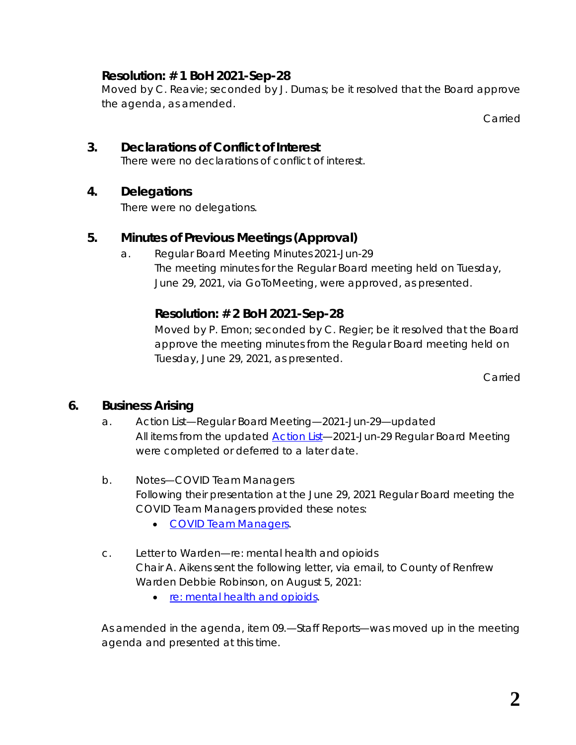# **Resolution: # 1 BoH 2021-Sep-28**

Moved by C. Reavie; seconded by J. Dumas; be it resolved that the Board approve the agenda, as amended.

Carried

### **3. Declarations of Conflict of Interest** There were no declarations of conflict of interest.

### **4. Delegations**

There were no delegations.

# **5. Minutes of Previous Meetings (Approval)**

a. Regular Board Meeting Minutes 2021-Jun-29 The meeting minutes for the Regular Board meeting held on Tuesday, June 29, 2021, via *GoToMeeting*, were approved, as presented.

# **Resolution: # 2 BoH 2021-Sep-28**

Moved by P. Emon; seconded by C. Regier; be it resolved that the Board approve the meeting minutes from the Regular Board meeting held on Tuesday, June 29, 2021, as presented.

Carried

### **6. Business Arising**

- a. Action List—Regular Board Meeting—2021-Jun-29—updated All items from the updated **Action List**—2021-Jun-29 Regular Board Meeting were completed or deferred to a later date.
- b. Notes—COVID Team Managers Following their presentation at the June 29, 2021 Regular Board meeting the COVID Team Managers provided these notes:
	- [COVID Team](https://www.rcdhu.com/wp-content/uploads/2021/11/06.-b.-Meet-the-COVID-Team-Managers-Notes.pdf) Managers.
- c. Letter to Warden—re: mental health and opioids Chair A. Aikens sent the following letter, via email, to County of Renfrew Warden Debbie Robinson, on August 5, 2021:
	- [re: mental health and](https://www.rcdhu.com/wp-content/uploads/2021/11/06.-c.-Letter-to-Warden-re-mental-health-and-opioids-2021-Aug-05.pdf) opioids.

As amended in the agenda, item 09.—Staff Reports—was moved up in the meeting agenda and presented at this time.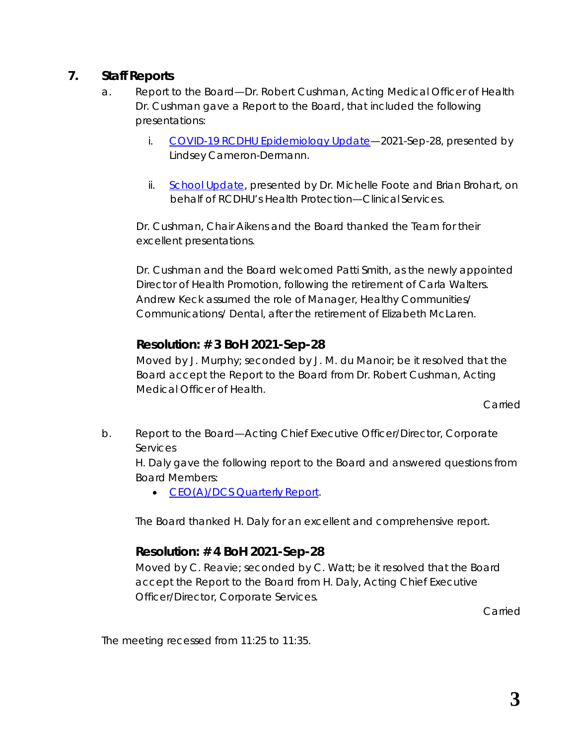# **7. Staff Reports**

- a. Report to the Board—Dr. Robert Cushman, Acting Medical Officer of Health Dr. Cushman gave a Report to the Board, that included the following presentations:
	- i. [COVID-19 RCDHU Epidemiology Update—](https://www.rcdhu.com/wp-content/uploads/2021/11/09.-a.-i.-COVID-19-RCDHU-Epidemiology-Update-2021-Sep-28.pdf)2021-Sep-28, presented by Lindsey Cameron-Dermann.
	- ii. [School Update,](https://www.rcdhu.com/wp-content/uploads/2021/11/09.-a.-ii.-RCDHU-School-Update.pdf) presented by Dr. Michelle Foote and Brian Brohart, on behalf of RCDHU's Health Protection—Clinical Services.

Dr. Cushman, Chair Aikens and the Board thanked the Team for their excellent presentations.

Dr. Cushman and the Board welcomed Patti Smith, as the newly appointed Director of Health Promotion, following the retirement of Carla Walters. Andrew Keck assumed the role of Manager, Healthy Communities/ Communications/ Dental, after the retirement of Elizabeth McLaren.

### **Resolution: # 3 BoH 2021-Sep-28**

Moved by J. Murphy; seconded by J. M. du Manoir; be it resolved that the Board accept the Report to the Board from Dr. Robert Cushman, Acting Medical Officer of Health.

Carried

b. Report to the Board—Acting Chief Executive Officer/Director, Corporate **Services** 

H. Daly gave the following report to the Board and answered questions from Board Members:

• [CEO\(A\)/DCS Quarterly](https://www.rcdhu.com/wp-content/uploads/2021/11/09.-b.-Report-to-the-Board-CEOA-2021-Sep-28.pdf) Report.

The Board thanked H. Daly for an excellent and comprehensive report.

### **Resolution: # 4 BoH 2021-Sep-28**

Moved by C. Reavie; seconded by C. Watt; be it resolved that the Board accept the Report to the Board from H. Daly, Acting Chief Executive Officer/Director, Corporate Services.

Carried

The meeting recessed from 11:25 to 11:35.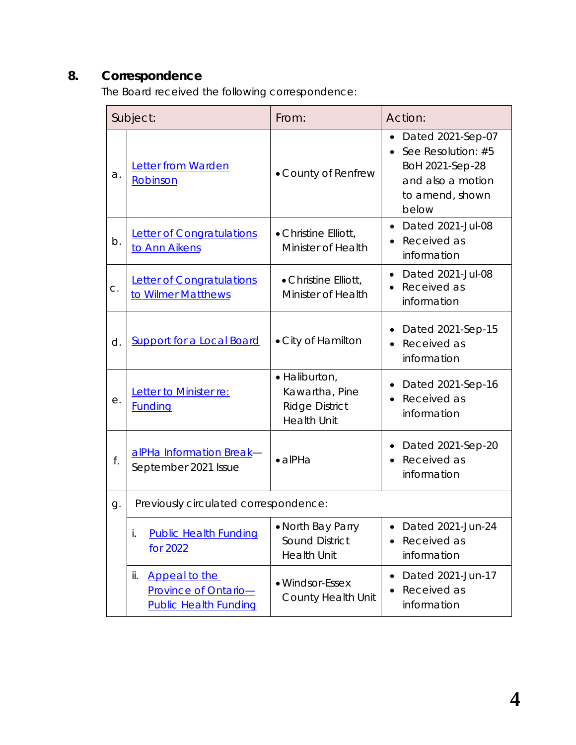# **8. Correspondence**

The Board received the following correspondence:

|    | Subject:                                                                            | From:                                                                          | Action:                                                                                                                               |
|----|-------------------------------------------------------------------------------------|--------------------------------------------------------------------------------|---------------------------------------------------------------------------------------------------------------------------------------|
| a. | <b>Letter from Warden</b><br>Robinson                                               | • County of Renfrew                                                            | Dated 2021-Sep-07<br>$\bullet$<br>See Resolution: #5<br>$\bullet$<br>BoH 2021-Sep-28<br>and also a motion<br>to amend, shown<br>below |
| b. | <b>Letter of Congratulations</b><br>to Ann Aikens                                   | • Christine Elliott,<br>Minister of Health                                     | Dated 2021-Jul-08<br>$\bullet$<br>Received as<br>information                                                                          |
| C. | <b>Letter of Congratulations</b><br>to Wilmer Matthews                              | • Christine Elliott,<br>Minister of Health                                     | Dated 2021-Jul-08<br>$\bullet$<br>Received as<br>information                                                                          |
| d. | <b>Support for a Local Board</b>                                                    | • City of Hamilton                                                             | Dated 2021-Sep-15<br>Received as<br>$\bullet$<br>information                                                                          |
| е. | Letter to Minister re:<br><b>Funding</b>                                            | · Haliburton,<br>Kawartha, Pine<br><b>Ridge District</b><br><b>Health Unit</b> | Dated 2021-Sep-16<br>٠<br>Received as<br>information                                                                                  |
| f. | alPHa Information Break-<br>September 2021 Issue                                    | $\bullet$ alPHa                                                                | Dated 2021-Sep-20<br>٠<br>Received as<br>information                                                                                  |
| g. | Previously circulated correspondence:                                               |                                                                                |                                                                                                                                       |
|    | i.<br><b>Public Health Funding</b><br>for 2022                                      | • North Bay Parry<br><b>Sound District</b><br><b>Health Unit</b>               | Dated 2021-Jun-24<br>Received as<br>information                                                                                       |
|    | Appeal to the<br>ii.<br><b>Province of Ontario-</b><br><b>Public Health Funding</b> | • Windsor-Essex<br>County Health Unit                                          | Dated 2021-Jun-17<br>$\bullet$<br>Received as<br>information                                                                          |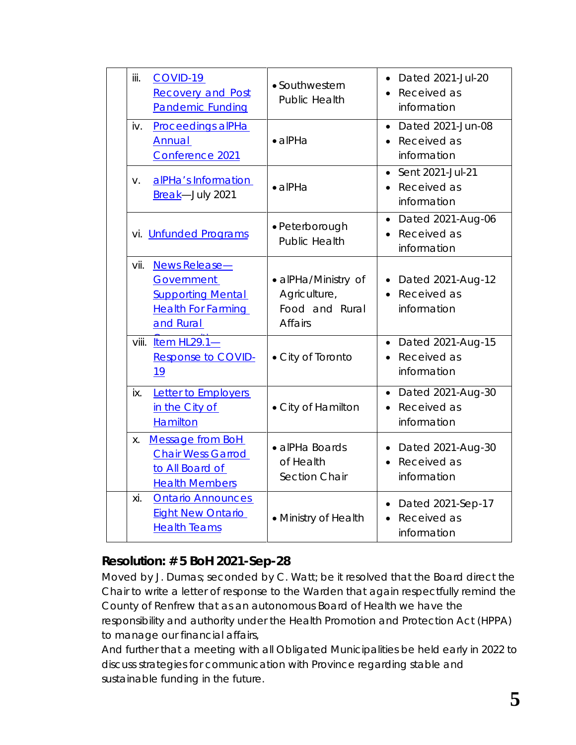| iii.<br>COVID-19<br><b>Recovery and Post</b><br><b>Pandemic Funding</b>                                   | • Southwestern<br><b>Public Health</b>                           | Dated 2021-Jul-20<br>$\bullet$<br>Received as<br>information |
|-----------------------------------------------------------------------------------------------------------|------------------------------------------------------------------|--------------------------------------------------------------|
| <b>Proceedings alPHa</b><br>İV.<br><b>Annual</b><br>Conference 2021                                       | $\bullet$ alPHa                                                  | Dated 2021-Jun-08<br>Received as<br>$\bullet$<br>information |
| alPHa's Information<br>V.<br>Break-July 2021                                                              | $\bullet$ alPHa                                                  | Sent 2021-Jul-21<br>$\bullet$<br>Received as<br>information  |
| vi. Unfunded Programs                                                                                     | • Peterborough<br><b>Public Health</b>                           | Dated 2021-Aug-06<br>$\bullet$<br>Received as<br>information |
| News Release-<br>Vii.<br>Government<br><b>Supporting Mental</b><br><b>Health For Farming</b><br>and Rural | • alPHa/Ministry of<br>Agriculture,<br>Food and Rural<br>Affairs | Dated 2021-Aug-12<br>Received as<br>$\bullet$<br>information |
| viii. Item HL29.1-<br>Response to COVID-<br>19                                                            | • City of Toronto                                                | Dated 2021-Aug-15<br>Received as<br>$\bullet$<br>information |
| <b>Letter to Employers</b><br>ix.<br>in the City of<br>Hamilton                                           | • City of Hamilton                                               | Dated 2021-Aug-30<br>$\bullet$<br>Received as<br>information |
| <b>Message from BoH</b><br>Х.<br><b>Chair Wess Garrod</b><br>to All Board of<br><b>Health Members</b>     | • alPHa Boards<br>of Health<br><b>Section Chair</b>              | Dated 2021-Aug-30<br>Received as<br>information              |
| xi.<br><b>Ontario Announces</b><br><b>Eight New Ontario</b><br><b>Health Teams</b>                        | • Ministry of Health                                             | Dated 2021-Sep-17<br>$\bullet$<br>Received as<br>information |

# **Resolution: # 5 BoH 2021-Sep-28**

Moved by J. Dumas; seconded by C. Watt; be it resolved that the Board direct the Chair to write a letter of response to the Warden that again respectfully remind the County of Renfrew that as an autonomous Board of Health we have the responsibility and authority under the *Health Promotion and Protection Act (HPPA)*  to manage our financial affairs,

And further that a meeting with all Obligated Municipalities be held early in 2022 to discuss strategies for communication with Province regarding stable and sustainable funding in the future.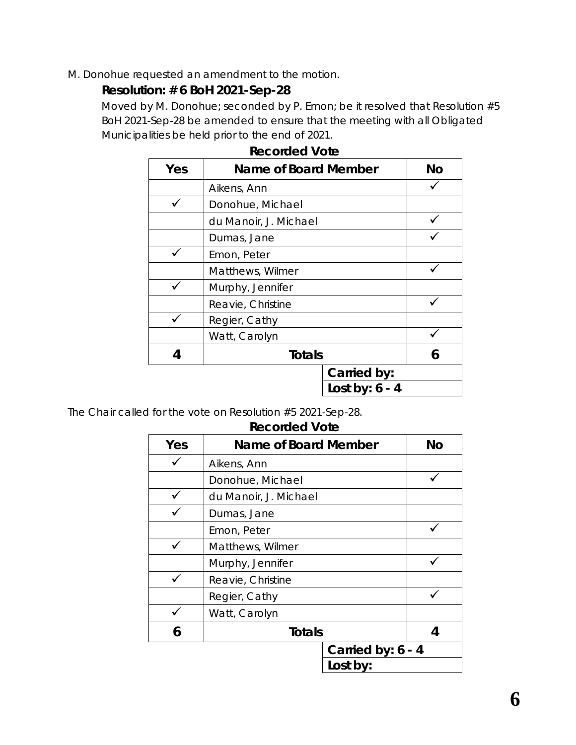M. Donohue requested an amendment to the motion.

# **Resolution: # 6 BoH 2021-Sep-28**

Moved by M. Donohue; seconded by P. Emon; be it resolved that Resolution #5 BoH 2021-Sep-28 be amended to ensure that the meeting with all Obligated Municipalities be held prior to the end of 2021.

| Yes | Name of Board Member  | <b>No</b> |
|-----|-----------------------|-----------|
|     | Aikens, Ann           |           |
|     | Donohue, Michael      |           |
|     | du Manoir, J. Michael |           |
|     | Dumas, Jane           |           |
|     | Emon, Peter           |           |
|     | Matthews, Wilmer      |           |
|     | Murphy, Jennifer      |           |
|     | Reavie, Christine     |           |
|     | Regier, Cathy         |           |
|     | Watt, Carolyn         |           |
| 4   | <b>Totals</b>         | 6         |
|     | Carried by:           |           |
|     | Lost by: 6 - 4        |           |

| <b>Recorded Vote</b> |  |
|----------------------|--|
|----------------------|--|

The Chair called for the vote on Resolution #5 2021-Sep-28.

| <b>Recorded Vote</b> |                       |           |
|----------------------|-----------------------|-----------|
| Yes                  | Name of Board Member  | <b>No</b> |
|                      | Aikens, Ann           |           |
|                      | Donohue, Michael      |           |
|                      | du Manoir, J. Michael |           |
|                      | Dumas, Jane           |           |
|                      | Emon, Peter           |           |
|                      | Matthews, Wilmer      |           |
|                      | Murphy, Jennifer      |           |
|                      | Reavie, Christine     |           |
|                      | Regier, Cathy         |           |
|                      | Watt, Carolyn         |           |
| 6                    | <b>Totals</b>         | 4         |
|                      | Carried by: 6 - 4     |           |
|                      | Lost by:              |           |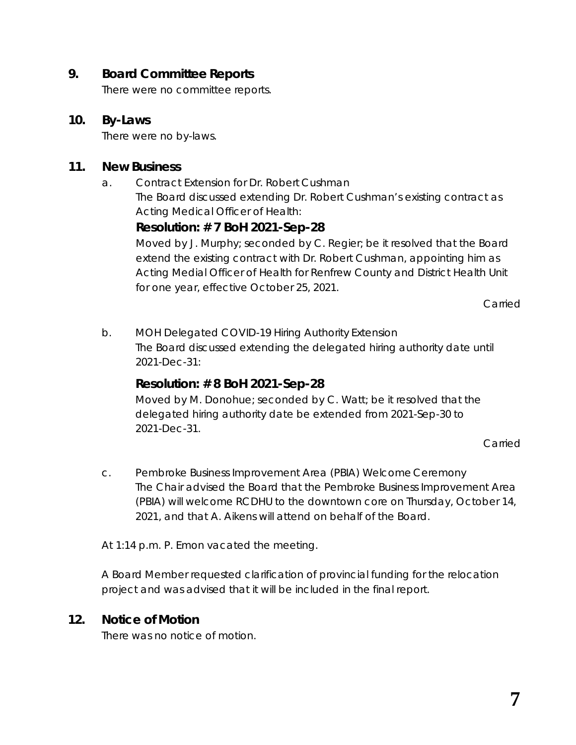# **9. Board Committee Reports**

There were no committee reports.

### **10. By-Laws**

There were no by-laws.

### **11. New Business**

a. Contract Extension for Dr. Robert Cushman The Board discussed extending Dr. Robert Cushman's existing contract as Acting Medical Officer of Health:

### **Resolution: # 7 BoH 2021-Sep-28**

Moved by J. Murphy; seconded by C. Regier; be it resolved that the Board extend the existing contract with Dr. Robert Cushman, appointing him as Acting Medial Officer of Health for Renfrew County and District Health Unit for one year, effective October 25, 2021.

Carried

b. MOH Delegated COVID-19 Hiring Authority Extension The Board discussed extending the delegated hiring authority date until 2021-Dec-31:

### **Resolution: # 8 BoH 2021-Sep-28**

Moved by M. Donohue; seconded by C. Watt; be it resolved that the delegated hiring authority date be extended from 2021-Sep-30 to 2021-Dec-31.

Carried

c. Pembroke Business Improvement Area (PBIA) Welcome Ceremony The Chair advised the Board that the Pembroke Business Improvement Area (PBIA) will welcome RCDHU to the downtown core on Thursday, October 14, 2021, and that A. Aikens will attend on behalf of the Board.

At 1:14 p.m. P. Emon vacated the meeting.

A Board Member requested clarification of provincial funding for the relocation project and was advised that it will be included in the final report.

### **12. Notice of Motion**

There was no notice of motion.